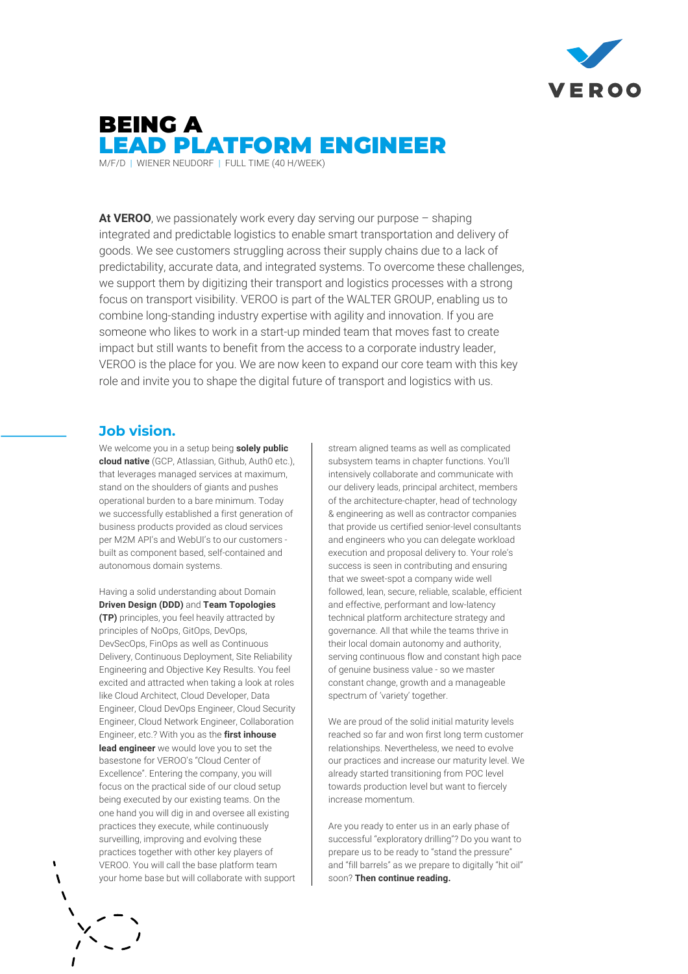

# BEING A LEAD PLATFORM ENGINEER

M/F/D | WIENER NEUDORF | FULL TIME (40 H/WEEK)

**At VEROO**, we passionately work every day serving our purpose – shaping integrated and predictable logistics to enable smart transportation and delivery of goods. We see customers struggling across their supply chains due to a lack of predictability, accurate data, and integrated systems. To overcome these challenges, we support them by digitizing their transport and logistics processes with a strong focus on transport visibility. VEROO is part of the WALTER GROUP, enabling us to combine long-standing industry expertise with agility and innovation. If you are someone who likes to work in a start-up minded team that moves fast to create impact but still wants to benefit from the access to a corporate industry leader, VEROO is the place for you. We are now keen to expand our core team with this key role and invite you to shape the digital future of transport and logistics with us.

### **Job vision.**

We welcome you in a setup being **solely public cloud native** (GCP, Atlassian, Github, Auth0 etc.), that leverages managed services at maximum, stand on the shoulders of giants and pushes operational burden to a bare minimum. Today we successfully established a first generation of business products provided as cloud services per M2M API's and WebUI's to our customers built as component based, self-contained and autonomous domain systems.

Having a solid understanding about Domain **Driven Design (DDD)** and **Team Topologies (TP)** principles, you feel heavily attracted by principles of NoOps, GitOps, DevOps, DevSecOps, FinOps as well as Continuous Delivery, Continuous Deployment, Site Reliability Engineering and Objective Key Results. You feel excited and attracted when taking a look at roles like Cloud Architect, Cloud Developer, Data Engineer, Cloud DevOps Engineer, Cloud Security Engineer, Cloud Network Engineer, Collaboration Engineer, etc.? With you as the **first inhouse lead engineer** we would love you to set the basestone for VEROO's "Cloud Center of Excellence". Entering the company, you will focus on the practical side of our cloud setup being executed by our existing teams. On the one hand you will dig in and oversee all existing practices they execute, while continuously surveilling, improving and evolving these practices together with other key players of VEROO. You will call the base platform team your home base but will collaborate with support

stream aligned teams as well as complicated subsystem teams in chapter functions. You'll intensively collaborate and communicate with our delivery leads, principal architect, members of the architecture-chapter, head of technology & engineering as well as contractor companies that provide us certified senior-level consultants and engineers who you can delegate workload execution and proposal delivery to. Your role's success is seen in contributing and ensuring that we sweet-spot a company wide well followed, lean, secure, reliable, scalable, efficient and effective, performant and low-latency technical platform architecture strategy and governance. All that while the teams thrive in their local domain autonomy and authority, serving continuous flow and constant high pace of genuine business value - so we master constant change, growth and a manageable spectrum of 'variety' together.

We are proud of the solid initial maturity levels reached so far and won first long term customer relationships. Nevertheless, we need to evolve our practices and increase our maturity level. We already started transitioning from POC level towards production level but want to fiercely increase momentum.

Are you ready to enter us in an early phase of successful "exploratory drilling"? Do you want to prepare us to be ready to "stand the pressure" and "fill barrels" as we prepare to digitally "hit oil" soon? **Then continue reading.**